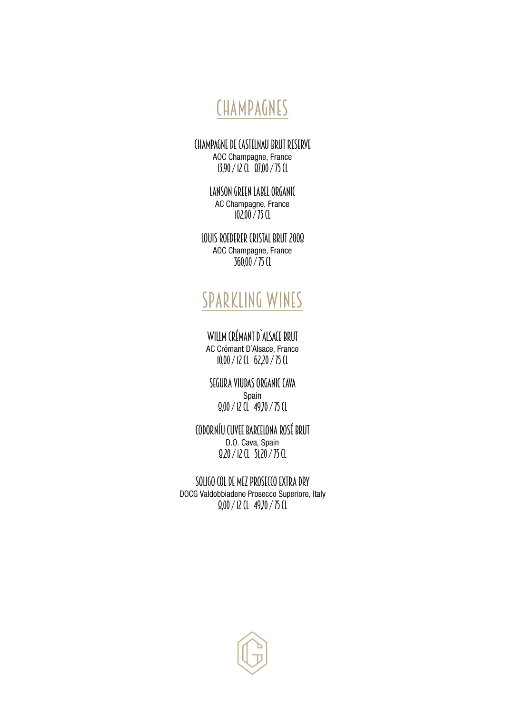### CHAMPAGNES

CHAMPAGNE DE CASTELNAU BRUT RESERVE<br>AOC Champagne, France 13,90 / 12 cl 87,00 / 75 cl

> LANSON GREEN LABEL ORGANIC<br>AC Champagne, France 102,00 / 75 cl

LOUIS ROEDERER CRISTAL BRUT 2009<br>AOC Champagne, France 360,00 / 75 cl

#### Sparkling wines

WILLM CRÉMANT D`ALSACE BRUT<br>AC Crémant D'Alsace, France 10,00 / 12 cl 62,20 / 75 cl

SEGURA VIUDAS ORGANIC CAVA 8,00 / 12 cl 49,70 / 75 cl

CODORNÍU CUVEE BARCELONA ROSÉ BRUT 8,20 / 12 cl 51,20 / 75 cl

SOLIGO COL DE MEZ PROSECCO EXTRA DRY<br>DOCG Valdobbiadene Prosecco Superiore, Italy 8,00 / 12 cl 49,70 / 75 cl

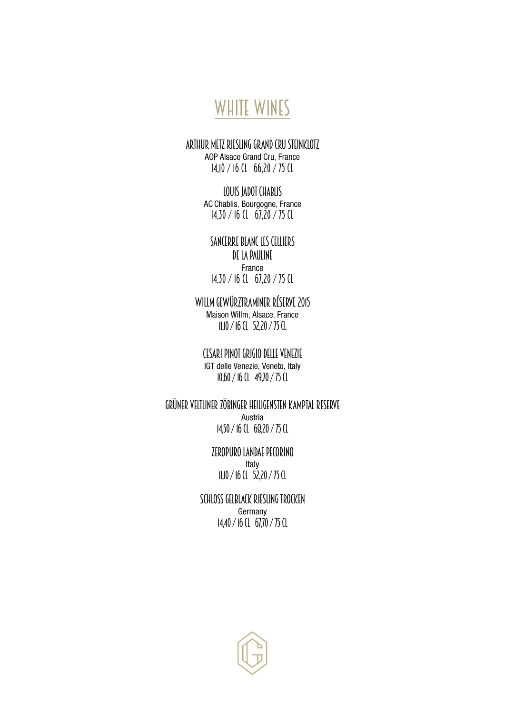#### WHITE WINES

ARTHUR METZ RIESLING GRAND CRU STEINKLOTZ<br>AOP Alsace Grand Cru, France

14,10 / 16 cl 66,20 / 75 cl

LOUIS JADOT CHABLIS<br>AC Chablis, Bourgogne, France 14,30 / 16 cl 67,20 / 75 cl

SANCERRE BLANC LES CELLIERS DE LA PAULINE<br>France 14,30 / 16 cl 67,20 / 75 cl

WILLM GEWÜRZTRAMINER RÉSERVE 2015<br>Maison Willm, Alsace, France 11,10 / 16 cl 52,20 / 75 cl

CESARI PINOT GRIGIO DELLE VENEZIE 10,60 / 16 cl 49,70 / 75 cl

GRÜNER VELTLINER ZÖBINGER HEILIGENSTEN KAMPTAL RESERVE 14,50 / 16 cl 68,20 / 75 cl

> ZEROPURO LANDAE PECORINO Italy 11,10 / 16 cl 52,20 / 75 cl

SCHLOSS GELBLACK RIESLING TROCKEN Germany 14,40 / 16 cl 67,70 / 75 cl

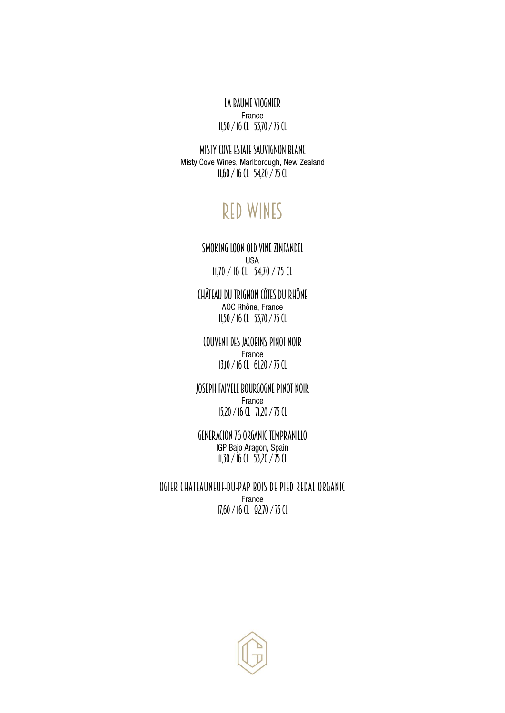LA BAUME VIOGNIER 11,50 / 16 cl 53,70 / 75 cl

MISTY COVE ESTATE SAUVIGNON BLANC<br>Misty Cove Wines, Marlborough, New Zealand 11,60 / 16 cl 54,20 / 75 cl

#### Red Wines

#### SMOKING LOON OLD VINE ZINFANDEL 11,70 / 16 cl 54,70 / 75 cl

CHÂTEAU DU TRIGNON CÔTES DU RHÔNE 11,50 / 16 cl 53,70 / 75 cl

COUVENT DES JACOBINS PINOT NOIR 13,10 / 16 cl 61,20 / 75 cl

JOSEPH FAIVELE BOURGOGNE PINOT NOIR 15,20 / 16 cl 71,20 / 75 cl

GENERACION 76 ORGANIC TEMPRANILLO 11,30 / 16 cl 53,20 / 75 cl

OGIER CHATEAUNEUF-DU-PAP BOIS DE PIED REDAL ORGANIC 17,60 / 16 cl 82,70 / 75 cl

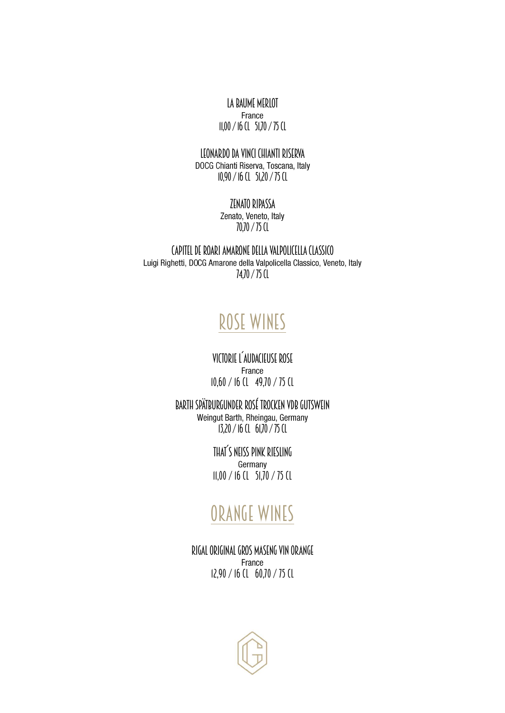LA BAUME MERLOT 11,00 / 16 cl 51,70 / 75 cl

### LEONARDO DA VINCI CHIANTI RISERVA<br>DOCG Chianti Riserva, Toscana, Italy

10,90 / 16 cl 51,20 / 75 cl

## ZENATO RIPASSA<br>Zenato, Veneto, Italy

70,70 / 75 cl

CAPITEL DE ROARI AMARONE DELLA VALPOLICELLA CLASSICO<br>Luigi Righetti, DOCG Amarone della Valpolicella Classico, Veneto, Italy 74,70 / 75 cl

### Rose Wines

VICTORIE L´AUDACIEUSE ROSE 10,60 / 16 cl 49,70 / 75 cl

BARTH SPÄTBURGUNDER ROSÉ TROCKEN VDB GUTSWEIN<br>Weingut Barth, Rheingau, Germany 13,20 / 16 cl 61,70 / 75 cl

> THAT´S NEISS PINK RIESLING Germany 11,00 / 16 cl 51,70 / 75 cl

#### Orange Wines

RIGAL ORIGINAL GROS MASENG VIN ORANGE 12,90 / 16 cl 60,70 / 75 cl

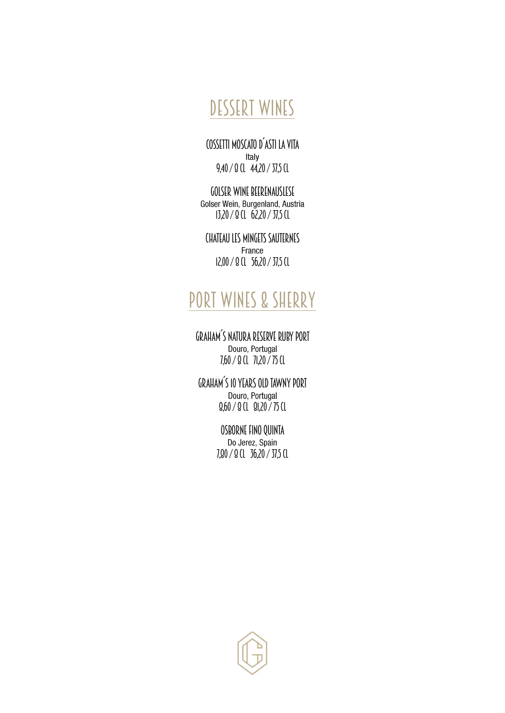## Dessert Wines

COSSETTI MOSCATO D´ASTI LA VITA 9,40 / 8 cl 44,20 / 37,5 cl

GOLSER WINE BEERENAUSLESE<br>Golser Wein, Burgenland, Austria 13,20 / 8 cl 62,20 / 37,5 cl

CHATEAU LES MINGETS SAUTERNES 12,00 / 8 cl 56,20 / 37,5 cl

## PORT WINES & SHERRY

GRAHAM´S NATURA RESERVE RUBY PORT 7,60 / 8 cl 71,20 / 75 cl

GRAHAM´S 10 YEARS OLD TAWNY PORT 8,60 / 8 cl 81,20 / 75 cl

> OSBORNE FINO QUINTA<br>Do Jerez, Spain 7,80 / 8 cl 36,20/ 37,5 cl

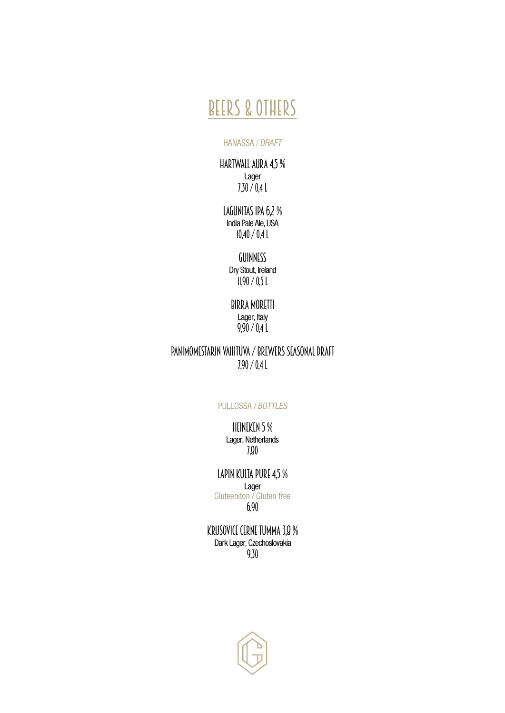#### Beers & Others

#### **HANASSA / DRAFT**

HARTWALL AURA 4,5 %  $7,30/0,41$ 

LAGUNITAS IPA 6,2 % 10,40 / 0,4 l

> GUINNESS<br>Dry Stout, Ireland  $11,90 / 0.51$

#### BIRRA MORETTI Lager, Italy 9,90 / 0,4 l

#### PANIMOMESTARIN VAIHTUVA / BREWERS SEASONAL DRAFT 7,90 / 0,4 l

#### **PULLOSSA / BOTTLES**

# HEINEKEN 5 %<br>Lager, Netherlands

7,80

# LAPIN KULTA PURE 4,5 %

Gluteeniton / Gluten free 6,90

KRUSOVICE CERNE TUMMA 3,8 % 9,30

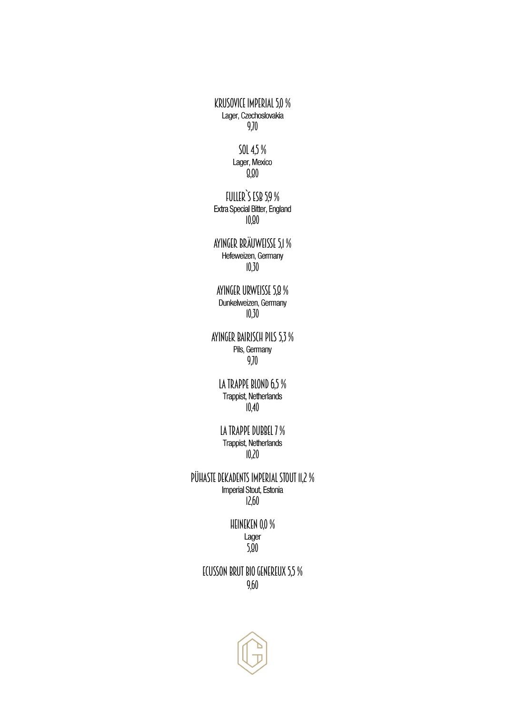KRUSOVICE IMPERIAL 5,0 %<br>Lager, Czechoslovakia 9,70

> SOL 4,5 %<br>Lager, Mexico 8,80

FULLER`S ESB 5,9 %<br>Extra Special Bitter, England 10,80

AYINGER BRÄUWEISSE 5,1 %<br>Hefeweizen, Germany 10,30

AYINGER URWEISSE 5,8 % 10,30

AYINGER BAIRISCH PILS 5,3 %<br>Pils, Germany 9,70

LA TRAPPE BLOND 6,5 %<br>Trappist, Netherlands 10,40

LA TRAPPE DUBBEL 7 %<br>Trappist, Netherlands 10,20

PÜHASTE DEKADENTS IMPERIAL STOUT 11,2 % 12,60

> HEINEKEN 0,0 %<br>Lager  $-5.90$

ECUSSON BRUT BIO GENEREUX 5,5 % 9,60